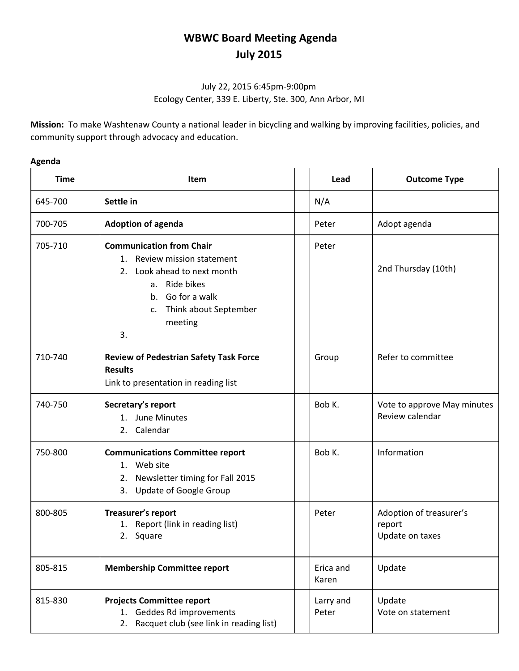# **WBWC Board Meeting Agenda July 2015**

## July 22, 2015 6:45pm-9:00pm Ecology Center, 339 E. Liberty, Ste. 300, Ann Arbor, MI

**Mission:** To make Washtenaw County a national leader in bicycling and walking by improving facilities, policies, and community support through advocacy and education.

## **Agenda**

| <b>Time</b> | <b>Item</b>                                                                                                                                                                        | Lead               | <b>Outcome Type</b>                                  |
|-------------|------------------------------------------------------------------------------------------------------------------------------------------------------------------------------------|--------------------|------------------------------------------------------|
| 645-700     | Settle in                                                                                                                                                                          | N/A                |                                                      |
| 700-705     | <b>Adoption of agenda</b>                                                                                                                                                          | Peter              | Adopt agenda                                         |
| 705-710     | <b>Communication from Chair</b><br>1. Review mission statement<br>2. Look ahead to next month<br>a. Ride bikes<br>b. Go for a walk<br>Think about September<br>c.<br>meeting<br>3. | Peter              | 2nd Thursday (10th)                                  |
| 710-740     | <b>Review of Pedestrian Safety Task Force</b><br><b>Results</b><br>Link to presentation in reading list                                                                            | Group              | Refer to committee                                   |
| 740-750     | Secretary's report<br>1. June Minutes<br>2. Calendar                                                                                                                               | Bob K.             | Vote to approve May minutes<br>Review calendar       |
| 750-800     | <b>Communications Committee report</b><br>1. Web site<br>2. Newsletter timing for Fall 2015<br>3. Update of Google Group                                                           | Bob K.             | Information                                          |
| 800-805     | Treasurer's report<br>1. Report (link in reading list)<br>Square<br>2.                                                                                                             | Peter              | Adoption of treasurer's<br>report<br>Update on taxes |
| 805-815     | <b>Membership Committee report</b>                                                                                                                                                 | Erica and<br>Karen | Update                                               |
| 815-830     | <b>Projects Committee report</b><br>1. Geddes Rd improvements<br>Racquet club (see link in reading list)<br>2.                                                                     | Larry and<br>Peter | Update<br>Vote on statement                          |